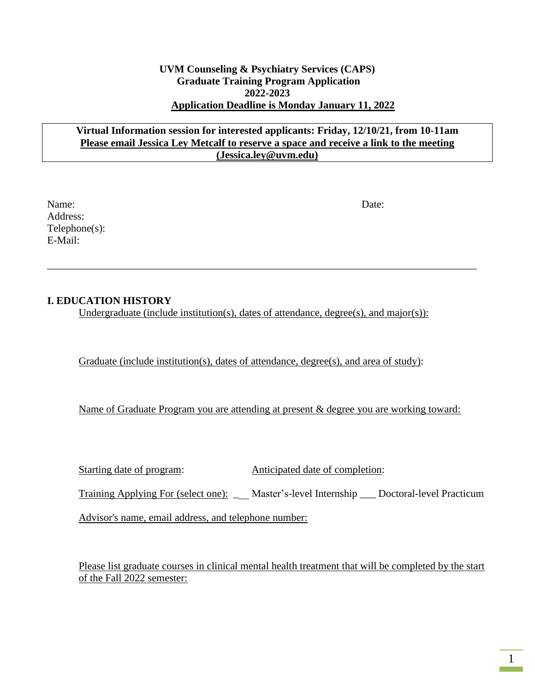#### **UVM Counseling & Psychiatry Services (CAPS) Graduate Training Program Application 2022-2023 Application Deadline is Monday January 11, 2022**

#### **Virtual Information session for interested applicants: Friday, 12/10/21, from 10-11am Please email Jessica Ley Metcalf to reserve a space and receive a link to the meeting (Jessica.ley@uvm.edu)**

Name: Date: Address: Telephone(s): E-Mail:

### **I. EDUCATION HISTORY**

Undergraduate (include institution(s), dates of attendance, degree(s), and major(s)):

\_\_\_\_\_\_\_\_\_\_\_\_\_\_\_\_\_\_\_\_\_\_\_\_\_\_\_\_\_\_\_\_\_\_\_\_\_\_\_\_\_\_\_\_\_\_\_\_\_\_\_\_\_\_\_\_\_\_\_\_\_\_\_\_\_\_\_\_\_\_\_\_\_\_\_\_\_\_\_\_\_\_

Graduate (include institution(s), dates of attendance, degree(s), and area of study):

Name of Graduate Program you are attending at present & degree you are working toward:

Starting date of program: Anticipated date of completion:

Training Applying For (select one): \_ Master's-level Internship \_ Doctoral-level Practicum

Advisor's name, email address, and telephone number:

Please list graduate courses in clinical mental health treatment that will be completed by the start of the Fall 2022 semester: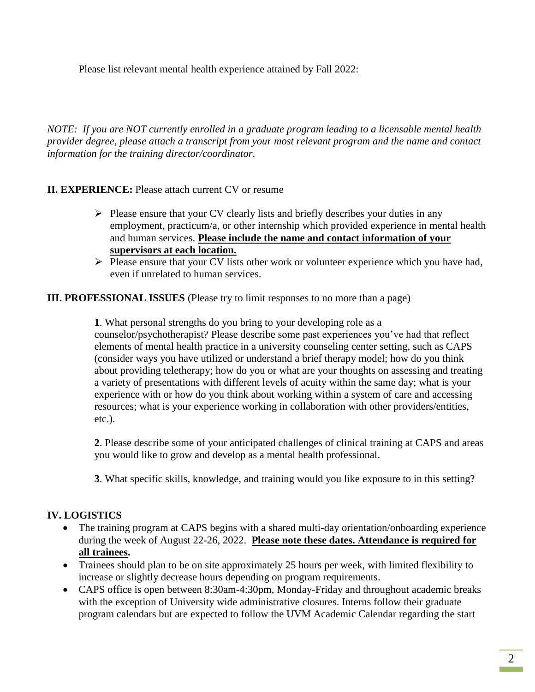Please list relevant mental health experience attained by Fall 2022:

*NOTE: If you are NOT currently enrolled in a graduate program leading to a licensable mental health provider degree, please attach a transcript from your most relevant program and the name and contact information for the training director/coordinator.*

## **II. EXPERIENCE:** Please attach current CV or resume

- $\triangleright$  Please ensure that your CV clearly lists and briefly describes your duties in any employment, practicum/a, or other internship which provided experience in mental health and human services. **Please include the name and contact information of your supervisors at each location.**
- $\triangleright$  Please ensure that your CV lists other work or volunteer experience which you have had, even if unrelated to human services.

**III. PROFESSIONAL ISSUES** (Please try to limit responses to no more than a page)

**1**. What personal strengths do you bring to your developing role as a counselor/psychotherapist? Please describe some past experiences you've had that reflect elements of mental health practice in a university counseling center setting, such as CAPS (consider ways you have utilized or understand a brief therapy model; how do you think about providing teletherapy; how do you or what are your thoughts on assessing and treating a variety of presentations with different levels of acuity within the same day; what is your experience with or how do you think about working within a system of care and accessing resources; what is your experience working in collaboration with other providers/entities, etc.).

**2**. Please describe some of your anticipated challenges of clinical training at CAPS and areas you would like to grow and develop as a mental health professional.

**3**. What specific skills, knowledge, and training would you like exposure to in this setting?

# **IV. LOGISTICS**

- The training program at CAPS begins with a shared multi-day orientation/onboarding experience during the week of August 22-26, 2022. **Please note these dates. Attendance is required for all trainees.**
- Trainees should plan to be on site approximately 25 hours per week, with limited flexibility to increase or slightly decrease hours depending on program requirements.
- CAPS office is open between 8:30am-4:30pm, Monday-Friday and throughout academic breaks with the exception of University wide administrative closures. Interns follow their graduate program calendars but are expected to follow the UVM Academic Calendar regarding the start